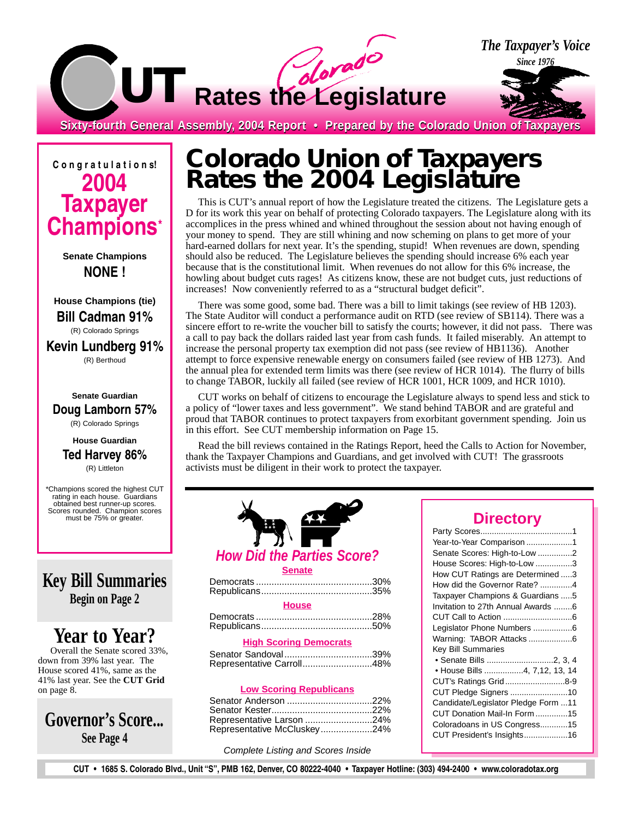

**C o n g r a t u l a t i o n s! 2004 Taxpayer Champions\***

> **Senate Champions NONE !**

**House Champions (tie) Bill Cadman 91%** (R) Colorado Springs **Kevin Lundberg 91%** (R) Berthoud

#### **Senate Guardian Doug Lamborn 57%** (R) Colorado Springs

**House Guardian**

#### **Ted Harvey 86%** (R) Littleton

\*Champions scored the highest CUT rating in each house. Guardians obtained best runner-up scores. Scores rounded. Champion scores must be 75% or greater.

**Key Bill Summaries Begin on Page 2**

## **Year to Year?**

Overall the Senate scored 33%, down from 39% last year. The House scored 41%, same as the 41% last year. See the **CUT Grid** on page 8.

**Governor's Score... See Page 4**

## **Colorado Union of Taxpayers Rates the 2004 Legislature**

This is CUT's annual report of how the Legislature treated the citizens. The Legislature gets a D for its work this year on behalf of protecting Colorado taxpayers. The Legislature along with its accomplices in the press whined and whined throughout the session about not having enough of your money to spend. They are still whining and now scheming on plans to get more of your hard-earned dollars for next year. It's the spending, stupid! When revenues are down, spending should also be reduced. The Legislature believes the spending should increase 6% each year because that is the constitutional limit. When revenues do not allow for this 6% increase, the howling about budget cuts rages! As citizens know, these are not budget cuts, just reductions of increases! Now conveniently referred to as a "structural budget deficit".

There was some good, some bad. There was a bill to limit takings (see review of HB 1203). The State Auditor will conduct a performance audit on RTD (see review of SB114). There was a sincere effort to re-write the voucher bill to satisfy the courts; however, it did not pass. There was a call to pay back the dollars raided last year from cash funds. It failed miserably. An attempt to increase the personal property tax exemption did not pass (see review of HB1136). Another attempt to force expensive renewable energy on consumers failed (see review of HB 1273). And the annual plea for extended term limits was there (see review of HCR 1014). The flurry of bills to change TABOR, luckily all failed (see review of HCR 1001, HCR 1009, and HCR 1010).

CUT works on behalf of citizens to encourage the Legislature always to spend less and stick to a policy of "lower taxes and less government". We stand behind TABOR and are grateful and proud that TABOR continues to protect taxpayers from exorbitant government spending. Join us in this effort. See CUT membership information on Page 15.

Read the bill reviews contained in the Ratings Report, heed the Calls to Action for November, thank the Taxpayer Champions and Guardians, and get involved with CUT! The grassroots activists must be diligent in their work to protect the taxpayer.

# **How Did the Parties Score? Senate**

| <b>Example 19 House</b> |  |
|-------------------------|--|
|                         |  |
|                         |  |

|  | <b>High Scoring Democrats</b> |
|--|-------------------------------|
|  |                               |

| Senator Sandoval39%       |  |
|---------------------------|--|
| Representative Carroll48% |  |

#### **Low Scoring Republicans**

| Representative Larson 24%   |  |
|-----------------------------|--|
| Representative McCluskey24% |  |

Complete Listing and Scores Inside

| <b>Director</b> |  |  |
|-----------------|--|--|
|                 |  |  |

| Year-to-Year Comparison 1           |
|-------------------------------------|
| Senate Scores: High-to-Low 2        |
| House Scores: High-to-Low 3         |
| How CUT Ratings are Determined 3    |
| How did the Governor Rate? 4        |
| Taxpayer Champions & Guardians 5    |
| Invitation to 27th Annual Awards 6  |
|                                     |
| Legislator Phone Numbers 6          |
| Warning: TABOR Attacks6             |
| <b>Key Bill Summaries</b>           |
|                                     |
| • House Bills 4, 7,12, 13, 14       |
| CUT's Ratings Grid8-9               |
| CUT Pledge Signers 10               |
| Candidate/Legislator Pledge Form 11 |
| CUT Donation Mail-In Form 15        |
| Coloradoans in US Congress15        |
| CUT President's Insights16          |
|                                     |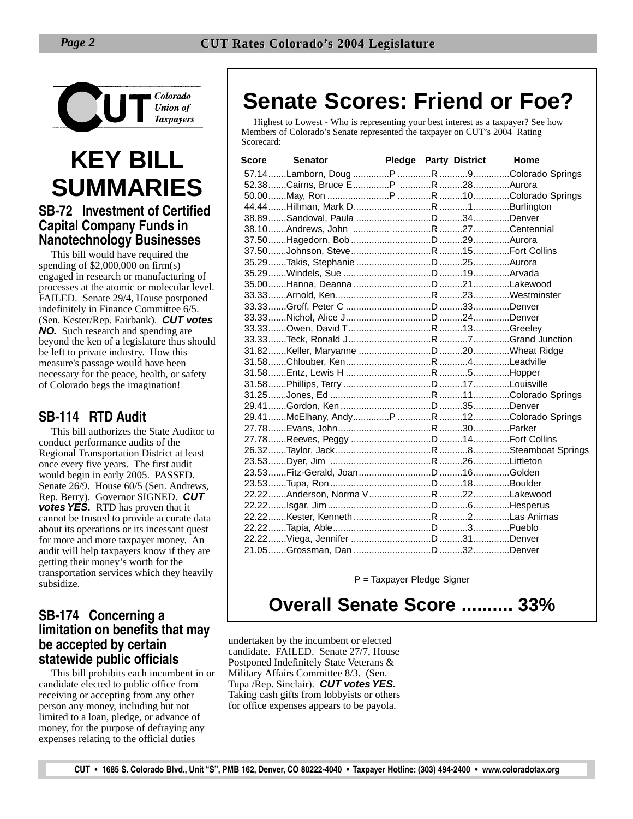

# **KEY BILL SUMMARIES**

#### **SB-72 Investment of Certified Capital Company Funds in Nanotechnology Businesses**

This bill would have required the spending of \$2,000,000 on firm(s) engaged in research or manufacturing of processes at the atomic or molecular level. FAILED. Senate 29/4, House postponed indefinitely in Finance Committee 6/5. (Sen. Kester/Rep. Fairbank). **CUT votes NO.** Such research and spending are beyond the ken of a legislature thus should be left to private industry. How this measure's passage would have been necessary for the peace, health, or safety of Colorado begs the imagination!

#### **SB-114 RTD Audit**

This bill authorizes the State Auditor to conduct performance audits of the Regional Transportation District at least once every five years. The first audit would begin in early 2005. PASSED. Senate 26/9. House 60/5 (Sen. Andrews, Rep. Berry). Governor SIGNED. **CUT votes YES.** RTD has proven that it cannot be trusted to provide accurate data about its operations or its incessant quest for more and more taxpayer money. An audit will help taxpayers know if they are getting their money's worth for the transportation services which they heavily subsidize.

#### **SB-174 Concerning a limitation on benefits that may be accepted by certain statewide public officials**

This bill prohibits each incumbent in or candidate elected to public office from receiving or accepting from any other person any money, including but not limited to a loan, pledge, or advance of money, for the purpose of defraying any expenses relating to the official duties

## **Senate Scores: Friend or Foe?**

Highest to Lowest - Who is representing your best interest as a taxpayer? See how Members of Colorado's Senate represented the taxpayer on CUT's 2004 Rating Scorecard:

| Score Senator |  | Pledge Party District Home |
|---------------|--|----------------------------|
|               |  |                            |
|               |  |                            |
|               |  |                            |
|               |  |                            |
|               |  |                            |
|               |  |                            |
|               |  |                            |
|               |  |                            |
|               |  |                            |
|               |  |                            |
|               |  |                            |
|               |  |                            |
|               |  |                            |
|               |  |                            |
|               |  |                            |
|               |  |                            |
|               |  |                            |
|               |  |                            |
|               |  |                            |
|               |  |                            |
|               |  |                            |
|               |  |                            |
|               |  |                            |
|               |  |                            |
|               |  |                            |
|               |  |                            |
|               |  |                            |
|               |  |                            |
|               |  |                            |
|               |  |                            |
|               |  |                            |
|               |  |                            |
|               |  |                            |
|               |  |                            |
|               |  |                            |

P = Taxpayer Pledge Signer

## **Overall Senate Score .......... 33%**

undertaken by the incumbent or elected candidate. FAILED. Senate 27/7, House Postponed Indefinitely State Veterans & Military Affairs Committee 8/3. (Sen. Tupa /Rep. Sinclair). **CUT votes YES.** Taking cash gifts from lobbyists or others for office expenses appears to be payola.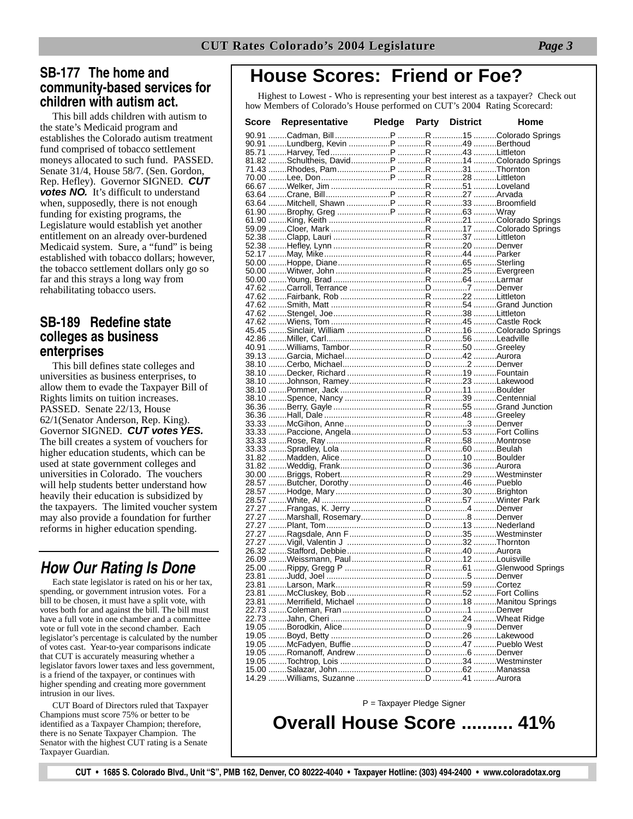#### **SB-177 The home and community-based services for children with autism act.**

This bill adds children with autism to the state's Medicaid program and establishes the Colorado autism treatment fund comprised of tobacco settlement moneys allocated to such fund. PASSED. Senate 31/4, House 58/7. (Sen. Gordon, Rep. Hefley). Governor SIGNED. **CUT votes NO.** It's difficult to understand when, supposedly, there is not enough funding for existing programs, the Legislature would establish yet another entitlement on an already over-burdened Medicaid system. Sure, a "fund" is being established with tobacco dollars; however, the tobacco settlement dollars only go so far and this strays a long way from rehabilitating tobacco users.

#### **SB-189 Redefine state colleges as business enterprises**

This bill defines state colleges and universities as business enterprises, to allow them to evade the Taxpayer Bill of Rights limits on tuition increases. PASSED. Senate 22/13, House 62/1(Senator Anderson, Rep. King). Governor SIGNED. **CUT votes YES.** The bill creates a system of vouchers for higher education students, which can be used at state government colleges and universities in Colorado. The vouchers will help students better understand how heavily their education is subsidized by the taxpayers. The limited voucher system may also provide a foundation for further reforms in higher education spending.

### *How Our Rating Is Done*

Each state legislator is rated on his or her tax, spending, or government intrusion votes. For a bill to be chosen, it must have a split vote, with votes both for and against the bill. The bill must have a full vote in one chamber and a committee vote or full vote in the second chamber. Each legislator's percentage is calculated by the number of votes cast. Year-to-year comparisons indicate that CUT is accurately measuring whether a legislator favors lower taxes and less government, is a friend of the taxpayer, or continues with higher spending and creating more government intrusion in our lives.

CUT Board of Directors ruled that Taxpayer Champions must score 75% or better to be identified as a Taxpayer Champion; therefore, there is no Senate Taxpayer Champion. The Senator with the highest CUT rating is a Senate Taxpayer Guardian.

## **House Scores: Friend or Foe?**

Highest to Lowest - Who is representing your best interest as a taxpayer? Check out how Members of Colorado's House performed on CUT's 2004 Rating Scorecard:

| Score | Representative | <b>Pledge Party District</b> |  | Home |
|-------|----------------|------------------------------|--|------|
|       |                |                              |  |      |
|       |                |                              |  |      |
|       |                |                              |  |      |
|       |                |                              |  |      |
|       |                |                              |  |      |
|       |                |                              |  |      |
|       |                |                              |  |      |
|       |                |                              |  |      |
|       |                |                              |  |      |
|       |                |                              |  |      |
|       |                |                              |  |      |
|       |                |                              |  |      |
|       |                |                              |  |      |
|       |                |                              |  |      |
|       |                |                              |  |      |
|       |                |                              |  |      |
|       |                |                              |  |      |
|       |                |                              |  |      |
|       |                |                              |  |      |
|       |                |                              |  |      |
|       |                |                              |  |      |
|       |                |                              |  |      |
|       |                |                              |  |      |
|       |                |                              |  |      |
|       |                |                              |  |      |
|       |                |                              |  |      |
|       |                |                              |  |      |
|       |                |                              |  |      |
|       |                |                              |  |      |
|       |                |                              |  |      |
|       |                |                              |  |      |
|       |                |                              |  |      |
|       |                |                              |  |      |
|       |                |                              |  |      |
|       |                |                              |  |      |
|       |                |                              |  |      |
|       |                |                              |  |      |
|       |                |                              |  |      |
|       |                |                              |  |      |
|       |                |                              |  |      |
|       |                |                              |  |      |
|       |                |                              |  |      |
|       |                |                              |  |      |
|       |                |                              |  |      |
|       |                |                              |  |      |
|       |                |                              |  |      |
|       |                |                              |  |      |
|       |                |                              |  |      |
|       |                |                              |  |      |
|       |                |                              |  |      |
|       |                |                              |  |      |
|       |                |                              |  |      |
|       |                |                              |  |      |
|       |                |                              |  |      |
|       |                |                              |  |      |
|       |                |                              |  |      |
|       |                |                              |  |      |
|       |                |                              |  |      |
|       |                |                              |  |      |
|       |                |                              |  |      |
|       |                |                              |  |      |
|       |                |                              |  |      |
|       |                |                              |  |      |

P = Taxpayer Pledge Signer

**Overall House Score .......... 41%**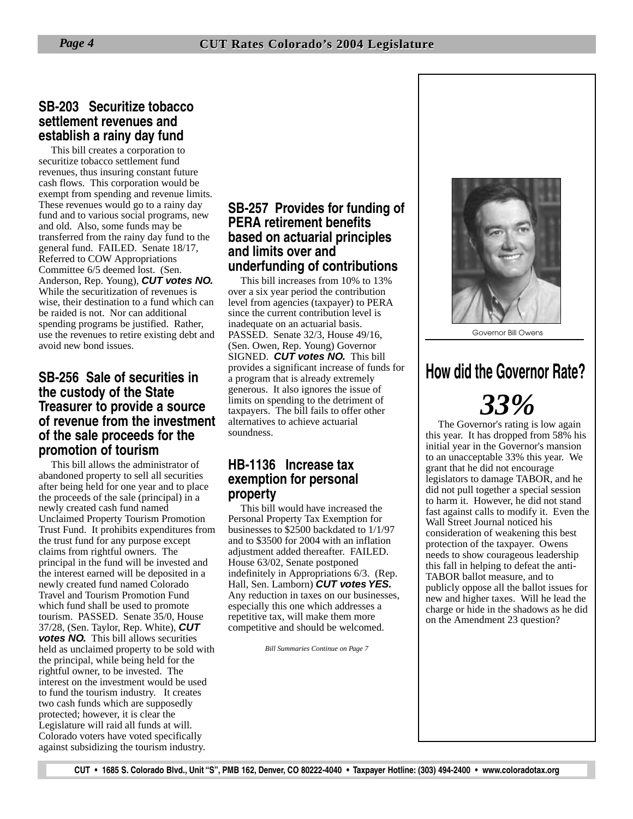#### **SB-203 Securitize tobacco settlement revenues and establish a rainy day fund**

This bill creates a corporation to securitize tobacco settlement fund revenues, thus insuring constant future cash flows. This corporation would be exempt from spending and revenue limits. These revenues would go to a rainy day fund and to various social programs, new and old. Also, some funds may be transferred from the rainy day fund to the general fund. FAILED. Senate 18/17, Referred to COW Appropriations Committee 6/5 deemed lost. (Sen. Anderson, Rep. Young), **CUT votes NO.** While the securitization of revenues is wise, their destination to a fund which can be raided is not. Nor can additional spending programs be justified. Rather, use the revenues to retire existing debt and avoid new bond issues.

#### **SB-256 Sale of securities in the custody of the State Treasurer to provide a source of revenue from the investment of the sale proceeds for the promotion of tourism**

This bill allows the administrator of abandoned property to sell all securities after being held for one year and to place the proceeds of the sale (principal) in a newly created cash fund named Unclaimed Property Tourism Promotion Trust Fund. It prohibits expenditures from the trust fund for any purpose except claims from rightful owners. The principal in the fund will be invested and the interest earned will be deposited in a newly created fund named Colorado Travel and Tourism Promotion Fund which fund shall be used to promote tourism. PASSED. Senate 35/0, House 37/28, (Sen. Taylor, Rep. White), **CUT votes NO.** This bill allows securities held as unclaimed property to be sold with the principal, while being held for the rightful owner, to be invested. The interest on the investment would be used to fund the tourism industry. It creates two cash funds which are supposedly protected; however, it is clear the Legislature will raid all funds at will. Colorado voters have voted specifically against subsidizing the tourism industry.

#### **SB-257 Provides for funding of PERA retirement benefits based on actuarial principles and limits over and underfunding of contributions**

This bill increases from 10% to 13% over a six year period the contribution level from agencies (taxpayer) to PERA since the current contribution level is inadequate on an actuarial basis. PASSED. Senate 32/3, House 49/16, (Sen. Owen, Rep. Young) Governor SIGNED. **CUT votes NO.** This bill provides a significant increase of funds for a program that is already extremely generous. It also ignores the issue of limits on spending to the detriment of taxpayers. The bill fails to offer other alternatives to achieve actuarial soundness.

#### **HB-1136 Increase tax exemption for personal property**

This bill would have increased the Personal Property Tax Exemption for businesses to \$2500 backdated to 1/1/97 and to \$3500 for 2004 with an inflation adjustment added thereafter. FAILED. House 63/02, Senate postponed indefinitely in Appropriations 6/3. (Rep. Hall, Sen. Lamborn) **CUT votes YES.** Any reduction in taxes on our businesses, especially this one which addresses a repetitive tax, will make them more competitive and should be welcomed.

*Bill Summaries Continue on Page 7*



Governor Bill Owens

## **How did the Governor Rate?**

# *33%*

The Governor's rating is low again this year. It has dropped from 58% his initial year in the Governor's mansion to an unacceptable 33% this year. We grant that he did not encourage legislators to damage TABOR, and he did not pull together a special session to harm it. However, he did not stand fast against calls to modify it. Even the Wall Street Journal noticed his consideration of weakening this best protection of the taxpayer. Owens needs to show courageous leadership this fall in helping to defeat the anti-TABOR ballot measure, and to publicly oppose all the ballot issues for new and higher taxes. Will he lead the charge or hide in the shadows as he did on the Amendment 23 question?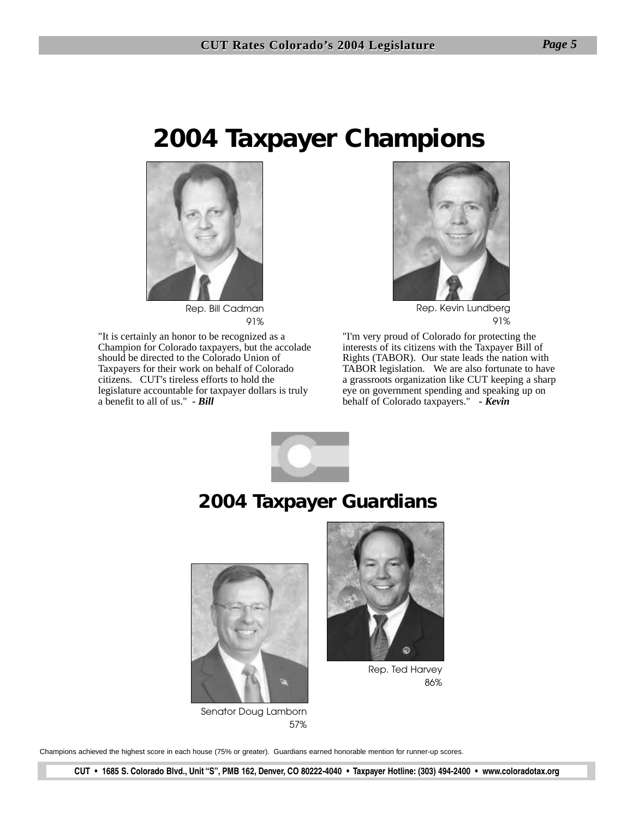## **2004 Taxpayer Champions**



Rep. Bill Cadman 91%

"It is certainly an honor to be recognized as a Champion for Colorado taxpayers, but the accolade should be directed to the Colorado Union of Taxpayers for their work on behalf of Colorado citizens. CUT's tireless efforts to hold the legislature accountable for taxpayer dollars is truly a benefit to all of us." *- Bill*



Rep. Kevin Lundberg 91%

"I'm very proud of Colorado for protecting the interests of its citizens with the Taxpayer Bill of Rights (TABOR). Our state leads the nation with TABOR legislation. We are also fortunate to have a grassroots organization like CUT keeping a sharp eye on government spending and speaking up on behalf of Colorado taxpayers." *- Kevin*



## **2004 Taxpayer Guardians**



Senator Doug Lamborn 57%



Rep. Ted Harvey 86%

Champions achieved the highest score in each house (75% or greater). Guardians earned honorable mention for runner-up scores.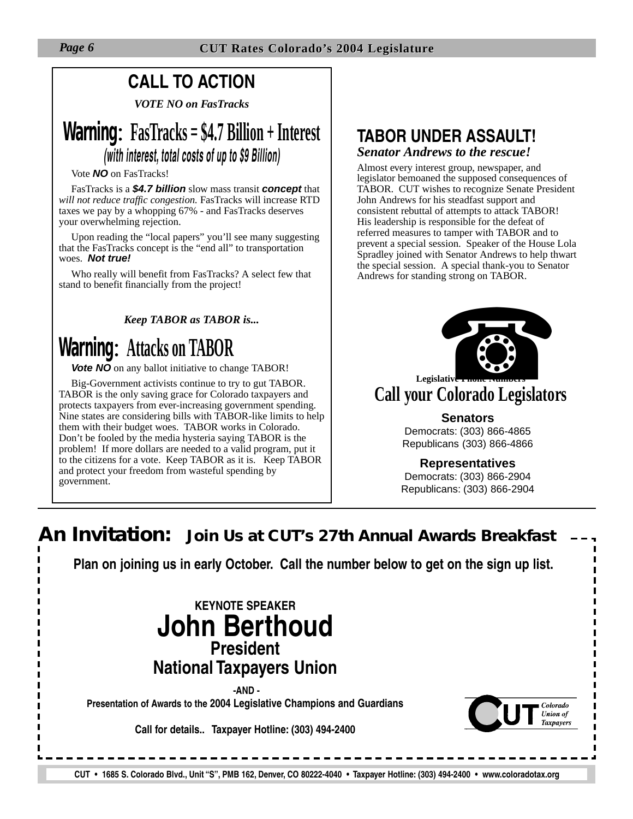## **CALL TO ACTION**

*VOTE NO on FasTracks*

## **Warning**: **FasTracks = \$4.7 Billion + Interest** *(with interest, total costs of up to \$9 Billion)*

#### Vote **NO** on FasTracks!

FasTracks is a **\$4.7 billion** slow mass transit **concept** that *will not reduce traffic congestion.* FasTracks will increase RTD taxes we pay by a whopping 67% - and FasTracks deserves your overwhelming rejection.

Upon reading the "local papers" you'll see many suggesting that the FasTracks concept is the "end all" to transportation woes. **Not true!**

Who really will benefit from FasTracks? A select few that stand to benefit financially from the project!

#### *Keep TABOR as TABOR is...*

## **Warning**: **Attacks on TABOR**

**Vote NO** on any ballot initiative to change TABOR!

Big-Government activists continue to try to gut TABOR. TABOR is the only saving grace for Colorado taxpayers and protects taxpayers from ever-increasing government spending. Nine states are considering bills with TABOR-like limits to help them with their budget woes. TABOR works in Colorado. Don't be fooled by the media hysteria saying TABOR is the problem! If more dollars are needed to a valid program, put it to the citizens for a vote. Keep TABOR as it is. Keep TABOR and protect your freedom from wasteful spending by government.

#### **TABOR UNDER ASSAULT!** *Senator Andrews to the rescue!*

Almost every interest group, newspaper, and legislator bemoaned the supposed consequences of TABOR. CUT wishes to recognize Senate President John Andrews for his steadfast support and consistent rebuttal of attempts to attack TABOR! His leadership is responsible for the defeat of referred measures to tamper with TABOR and to prevent a special session. Speaker of the House Lola Spradley joined with Senator Andrews to help thwart the special session. A special thank-you to Senator Andrews for standing strong on TABOR.



# **Call your Colorado Legislators Legislative Phone Numbers**

#### **Senators**

Democrats: (303) 866-4865 Republicans (303) 866-4866

#### **Representatives**

Democrats: (303) 866-2904 Republicans: (303) 866-2904

## **An Invitation: Join Us at CUT's 27th Annual Awards Breakfast Plan on joining us in early October. Call the number below to get on the sign up list.KEYNOTE SPEAKER John Berthoud President National Taxpayers Union -AND - Presentation of Awards to the 2004 Legislative Champions and Guardians** Colorado

**Call for details.. Taxpayer Hotline: (303) 494-2400**

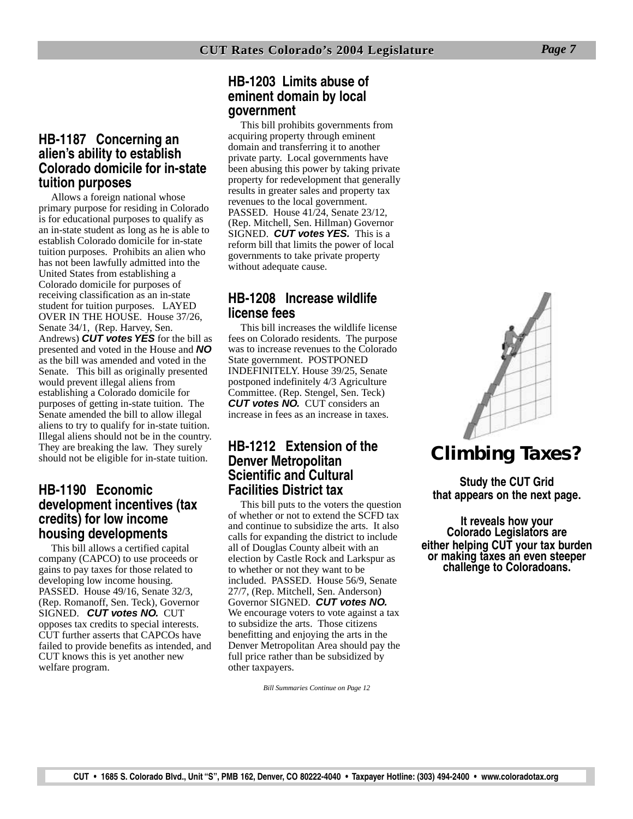#### **HB-1187 Concerning an alien's ability to establish Colorado domicile for in-state tuition purposes**

Allows a foreign national whose primary purpose for residing in Colorado is for educational purposes to qualify as an in-state student as long as he is able to establish Colorado domicile for in-state tuition purposes. Prohibits an alien who has not been lawfully admitted into the United States from establishing a Colorado domicile for purposes of receiving classification as an in-state student for tuition purposes. LAYED OVER IN THE HOUSE. House 37/26, Senate 34/1, (Rep. Harvey, Sen. Andrews) **CUT votes YES** for the bill as presented and voted in the House and **NO** as the bill was amended and voted in the Senate. This bill as originally presented would prevent illegal aliens from establishing a Colorado domicile for purposes of getting in-state tuition. The Senate amended the bill to allow illegal aliens to try to qualify for in-state tuition. Illegal aliens should not be in the country. They are breaking the law. They surely should not be eligible for in-state tuition.

#### **HB-1190 Economic development incentives (tax credits) for low income housing developments**

This bill allows a certified capital company (CAPCO) to use proceeds or gains to pay taxes for those related to developing low income housing. PASSED. House 49/16, Senate 32/3, (Rep. Romanoff, Sen. Teck), Governor SIGNED. **CUT votes NO.** CUT opposes tax credits to special interests. CUT further asserts that CAPCOs have failed to provide benefits as intended, and CUT knows this is yet another new welfare program.

#### **HB-1203 Limits abuse of eminent domain by local government**

This bill prohibits governments from acquiring property through eminent domain and transferring it to another private party. Local governments have been abusing this power by taking private property for redevelopment that generally results in greater sales and property tax revenues to the local government. PASSED. House 41/24, Senate 23/12, (Rep. Mitchell, Sen. Hillman) Governor SIGNED. **CUT votes YES.** This is a reform bill that limits the power of local governments to take private property without adequate cause.

#### **HB-1208 Increase wildlife license fees**

This bill increases the wildlife license fees on Colorado residents. The purpose was to increase revenues to the Colorado State government. POSTPONED INDEFINITELY. House 39/25, Senate postponed indefinitely 4/3 Agriculture Committee. (Rep. Stengel, Sen. Teck) **CUT votes NO.** CUT considers an increase in fees as an increase in taxes.

#### **HB-1212 Extension of the Denver Metropolitan Scientific and Cultural Facilities District tax**

This bill puts to the voters the question of whether or not to extend the SCFD tax and continue to subsidize the arts. It also calls for expanding the district to include all of Douglas County albeit with an election by Castle Rock and Larkspur as to whether or not they want to be included. PASSED. House 56/9, Senate 27/7, (Rep. Mitchell, Sen. Anderson) Governor SIGNED. **CUT votes NO.** We encourage voters to vote against a tax to subsidize the arts. Those citizens benefitting and enjoying the arts in the Denver Metropolitan Area should pay the full price rather than be subsidized by other taxpayers.

*Bill Summaries Continue on Page 12*



## **Climbing Taxes?**

**Study the CUT Grid that appears on the next page.**

**It reveals how your Colorado Legislators are either helping CUT your tax burden or making taxes an even steeper challenge to Coloradoans.**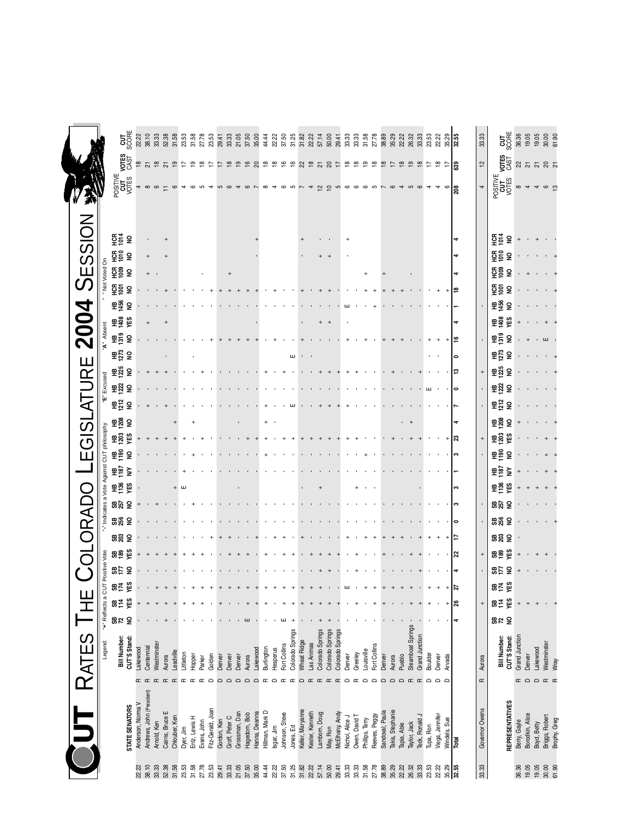|                                   |                               | $\frac{1}{250}$                      | 22.22             | 38.10                     | 33.33       | 52.38                    | 31.58          | 23.53     | 31.58         | 27.78          | 23.53             | 29.41       | 33.33          | 21.05<br>37.50                  | 35.00         | 44.44           | 22.22                   | 37.50          | 31.25            | 31.82            | 22.22<br>57.14  |                  | 50.00            | 29.41            | 33.33<br>33.33                   | 31.58           | 27.78              | 38.89           | 35.29            | 22.22         | 26.32             | 33.33          | 23.53     | 22.22           | 35.29<br>32.55                | 33.33             | <b>S</b> SSE                         | 36.36             | 19.05           |             | $19.05$<br>$30.00$<br>$61.30$                                                                                                                                                 |              |
|-----------------------------------|-------------------------------|--------------------------------------|-------------------|---------------------------|-------------|--------------------------|----------------|-----------|---------------|----------------|-------------------|-------------|----------------|---------------------------------|---------------|-----------------|-------------------------|----------------|------------------|------------------|-----------------|------------------|------------------|------------------|----------------------------------|-----------------|--------------------|-----------------|------------------|---------------|-------------------|----------------|-----------|-----------------|-------------------------------|-------------------|--------------------------------------|-------------------|-----------------|-------------|-------------------------------------------------------------------------------------------------------------------------------------------------------------------------------|--------------|
|                                   |                               | <b>VOTES</b><br>CAST                 | ₽                 | 278                       |             | $\overline{\mathcal{S}}$ | $\overline{9}$ |           | ഉ             | $\overline{8}$ | F                 |             | ≌              | $\frac{6}{2}$<br>$\overline{9}$ | ର             |                 | $\frac{\infty}{\infty}$ | $\tilde{e}$    | $\frac{6}{5}$    |                  |                 |                  | 89585            |                  | $\frac{\infty}{2}$               | စ္စာ            | $\frac{\infty}{2}$ | ₽               | 17               | $\frac{8}{1}$ | $\mathfrak{S}$    | $\frac{8}{10}$ | ₽         | ≌<br>₽          | 639                           | 얻                 | VOTES<br>CAST                        |                   |                 |             | <b>ន</b> ស ស ន ស                                                                                                                                                              |              |
|                                   |                               | POSITIVE<br>CUT<br>VOTES             |                   |                           |             |                          |                |           |               |                |                   |             |                |                                 |               |                 |                         |                |                  |                  |                 |                  |                  |                  |                                  |                 |                    |                 |                  |               |                   |                |           |                 |                               |                   |                                      |                   |                 |             |                                                                                                                                                                               |              |
| 茶                                 |                               |                                      |                   |                           |             |                          |                |           |               |                |                   |             |                |                                 |               |                 |                         |                |                  |                  |                 | $\simeq$         | $\epsilon$       | 5                |                                  |                 |                    |                 |                  |               |                   |                |           |                 | ន្ត                           |                   | POSITIVE<br>CUT<br>VOTES             | $\infty$          |                 |             |                                                                                                                                                                               |              |
|                                   |                               |                                      |                   |                           |             |                          |                |           |               |                |                   |             |                |                                 |               |                 |                         |                |                  |                  |                 |                  |                  |                  |                                  |                 |                    |                 |                  |               |                   |                |           |                 |                               |                   |                                      |                   |                 |             |                                                                                                                                                                               |              |
| SESSION                           |                               | 토를 운                                 |                   |                           |             |                          |                |           |               |                |                   |             |                |                                 |               |                 |                         |                |                  |                  |                 |                  |                  |                  |                                  |                 |                    |                 |                  |               |                   |                |           |                 |                               |                   | 뜙<br>$\mathsf{S}$                    |                   |                 |             |                                                                                                                                                                               |              |
|                                   |                               | 준 등 중                                |                   |                           |             |                          |                |           |               |                |                   |             |                |                                 |               |                 |                         |                |                  |                  |                 |                  |                  |                  |                                  |                 |                    |                 |                  |               |                   |                |           |                 |                               |                   | 뜙<br>£                               |                   |                 |             |                                                                                                                                                                               |              |
|                                   | Not Voted On                  | ភ្ជុំខ្លួ ទ                          |                   |                           |             |                          |                |           |               |                |                   |             |                |                                 |               |                 |                         |                |                  |                  |                 |                  |                  |                  |                                  |                 |                    |                 |                  |               |                   |                |           |                 |                               |                   | 뜓흥<br>$\overline{\mathbf{z}}$        |                   |                 |             |                                                                                                                                                                               |              |
|                                   |                               | ភ្នំទី ទី                            |                   |                           |             |                          |                |           |               |                |                   |             |                |                                 |               |                 |                         |                |                  |                  |                 |                  |                  |                  |                                  |                 |                    |                 |                  |               |                   |                |           |                 |                               |                   | ទី <u>ទី</u><br>$\overline{2}$       |                   |                 |             |                                                                                                                                                                               |              |
| 4                                 |                               | 품종<br>ę                              |                   |                           |             |                          |                |           |               |                |                   |             |                |                                 |               |                 |                         |                |                  |                  |                 |                  |                  |                  |                                  |                 |                    |                 |                  |               |                   |                |           |                 |                               |                   | 품종<br>$\overline{2}$                 |                   |                 |             |                                                                                                                                                                               |              |
|                                   |                               | <b>#</b> ត្តិ ត្រូ                   |                   |                           |             |                          |                |           |               |                |                   |             |                |                                 |               |                 |                         |                |                  |                  |                 | $^{+}$           |                  |                  |                                  |                 |                    |                 |                  |               |                   |                |           |                 |                               |                   | <b>#ត្តិ ក្ល</b>                     | $\qquad \qquad +$ |                 |             |                                                                                                                                                                               |              |
| $\bf \overline{20}$               | Absent                        | <sub>또</sub> 흥                       |                   |                           |             |                          |                |           |               |                |                   |             |                |                                 |               |                 |                         |                |                  |                  |                 |                  |                  |                  |                                  |                 |                    |                 |                  |               |                   |                |           |                 |                               |                   | $\frac{\omega}{2}$<br>$\mathsf{S}$   |                   |                 |             | ш                                                                                                                                                                             |              |
|                                   |                               | 표층 등                                 |                   |                           |             |                          |                |           |               |                |                   |             |                |                                 |               |                 |                         |                | ш                |                  |                 |                  |                  |                  |                                  |                 |                    |                 |                  |               |                   |                |           |                 | $\bullet$                     |                   | 표정 등                                 |                   |                 |             |                                                                                                                                                                               |              |
| URE                               |                               | កឆ្ន<br>š                            |                   |                           |             |                          |                |           |               |                |                   |             |                |                                 |               |                 |                         |                |                  |                  |                 |                  |                  |                  |                                  |                 |                    |                 |                  |               |                   |                |           |                 |                               |                   | <b>#</b> ដូ ຣ                        |                   |                 |             |                                                                                                                                                                               |              |
|                                   | Excused<br>μį                 | 표형<br>$\overline{\mathbf{2}}$        |                   |                           |             |                          |                |           |               |                |                   |             |                |                                 |               |                 |                         |                |                  |                  |                 |                  |                  |                  |                                  |                 |                    |                 |                  |               |                   |                |           |                 |                               |                   | <b>또있</b><br>$\overline{\mathbf{z}}$ |                   |                 |             |                                                                                                                                                                               |              |
| EGISLATI                          |                               | 문원<br>£                              |                   |                           |             |                          |                |           |               |                |                   |             |                |                                 |               |                 |                         |                |                  |                  |                 |                  |                  |                  |                                  |                 |                    |                 |                  |               |                   |                |           |                 |                               |                   | 모음<br>$\overline{2}$                 |                   |                 |             |                                                                                                                                                                               |              |
|                                   |                               | 품흥 등                                 |                   |                           |             |                          |                |           |               |                |                   |             |                |                                 |               | $\ddot{}$       |                         |                |                  |                  |                 |                  |                  |                  |                                  |                 |                    |                 |                  |               | $+$               |                |           |                 |                               |                   | 품흥 등                                 |                   |                 |             |                                                                                                                                                                               |              |
|                                   |                               | 표혊                                   |                   |                           |             |                          |                |           |               |                |                   |             |                |                                 |               |                 |                         |                |                  |                  |                 |                  |                  |                  |                                  |                 |                    |                 |                  |               |                   |                |           |                 | ສ                             |                   | <sub>또</sub> 음<br>ξŝ                 |                   |                 |             |                                                                                                                                                                               |              |
|                                   | a Vote Against CUT philosophy | 물음                                   |                   |                           |             |                          |                |           |               |                |                   |             |                |                                 |               |                 |                         |                |                  |                  |                 |                  |                  |                  |                                  |                 |                    |                 |                  |               |                   |                |           |                 |                               |                   | 품이<br>£                              |                   |                 |             |                                                                                                                                                                               |              |
|                                   |                               | 울모<br>≩                              |                   |                           |             |                          |                |           |               |                |                   |             |                |                                 |               |                 |                         |                |                  |                  |                 |                  |                  |                  |                                  |                 |                    |                 |                  |               |                   |                |           |                 |                               |                   | 오늘<br>≩                              |                   |                 |             |                                                                                                                                                                               |              |
|                                   |                               | 모음<br>ξŝ                             |                   |                           |             |                          |                |           |               |                |                   |             |                |                                 |               |                 |                         |                |                  |                  |                 |                  |                  |                  |                                  |                 |                    |                 |                  |               |                   |                |           |                 | 3                             |                   | 문음<br>ម្ព                            |                   |                 |             |                                                                                                                                                                               |              |
|                                   | Indicates                     | <b>925</b>                           |                   |                           |             |                          |                |           |               |                |                   |             |                |                                 |               |                 |                         |                |                  |                  |                 |                  |                  |                  |                                  |                 |                    |                 |                  |               |                   |                |           |                 |                               |                   | ទី ដូន                               |                   |                 |             |                                                                                                                                                                               |              |
| -ORAD                             |                               | ងឌូ ទី                               |                   |                           |             |                          |                |           |               |                |                   |             |                |                                 |               |                 |                         |                |                  |                  |                 |                  |                  |                  |                                  |                 |                    |                 |                  |               |                   |                |           |                 |                               |                   | ងខ្លួ ទី<br>ទីខ្លួ                   |                   |                 |             |                                                                                                                                                                               |              |
|                                   |                               | ងឌូ ទី<br>ទីត្តពិ                    |                   |                           |             |                          |                |           |               |                |                   |             |                |                                 |               |                 |                         |                |                  |                  |                 |                  |                  |                  |                                  |                 |                    |                 |                  |               |                   |                |           |                 | ສ                             |                   | ξŝ<br>88                             |                   |                 |             |                                                                                                                                                                               |              |
| $\overline{\bigcap}$<br><u>(ັ</u> | Positive Vote                 | $\frac{25}{10}$<br>g                 |                   |                           |             |                          |                |           |               |                |                   |             |                |                                 |               |                 |                         |                |                  |                  |                 |                  |                  |                  |                                  |                 |                    |                 |                  |               |                   |                |           |                 |                               |                   | 56<br>£                              |                   |                 |             |                                                                                                                                                                               |              |
|                                   |                               | m 보 ದ                                |                   |                           |             |                          |                |           |               |                |                   |             |                |                                 |               |                 |                         |                |                  |                  |                 |                  |                  |                  |                                  |                 |                    |                 |                  |               |                   |                |           |                 |                               |                   | ង់ដុំ ឆ្ន                            |                   |                 |             |                                                                                                                                                                               |              |
|                                   |                               | YES<br>8년                            |                   |                           |             |                          |                |           |               |                |                   |             |                |                                 |               |                 |                         |                |                  |                  |                 |                  |                  |                  |                                  |                 |                    |                 |                  |               |                   |                |           |                 | ೫                             | $\qquad \qquad +$ | YES<br>8호                            |                   |                 |             |                                                                                                                                                                               |              |
|                                   | "+" Reflects a CUT            | <b>92</b><br>$\overline{\mathbf{z}}$ |                   |                           |             |                          |                |           |               |                |                   |             |                |                                 |               |                 |                         |                |                  |                  |                 |                  |                  |                  |                                  |                 |                    |                 |                  |               |                   |                |           |                 |                               |                   | 82 S                                 |                   |                 |             |                                                                                                                                                                               |              |
|                                   |                               |                                      |                   |                           |             |                          |                |           |               |                |                   |             |                |                                 |               |                 |                         |                |                  |                  |                 |                  |                  |                  |                                  |                 |                    |                 |                  |               | Steamboat Springs |                |           |                 |                               |                   |                                      |                   |                 |             |                                                                                                                                                                               |              |
| RATES                             | Legend:                       | Bill Number:<br>CUT'S Stand:         | Lakewood          | Centennial                | Westminster |                          |                |           |               |                |                   |             |                |                                 | Lakewood      | Burlington      | Hesperus                | Fort Collins   | Colorado Springs | Wheat Ridge      | Las Animas      | Colorado Springs | Colorado Springs | Colorado Springs |                                  |                 | Fort Collins       |                 |                  |               |                   | Grand Junction |           |                 |                               |                   | CUT'S Stand:<br>Bill Number:         | Grand Junction    |                 | Lakewood    | Westminster                                                                                                                                                                   |              |
|                                   |                               |                                      |                   |                           |             | Aurora                   | Leadville      | Littleton | Hopper        | Parker         | Golden            | Denver      | Denver         | Denver                          | Aurora        |                 |                         |                |                  |                  |                 |                  |                  |                  | Greeley<br>Denver                | Louisville      |                    | Denver          | Aurora           | Pueblo        |                   |                | Boulder   | Denver          | Arvada                        | Aurora            |                                      |                   | Denver          |             |                                                                                                                                                                               | Wray         |
|                                   |                               |                                      |                   | $\approx$ $\approx$       | $\alpha$    | $\simeq$                 | $\alpha$       | $\sigma$  | $\alpha$      | $\square$      | $\Omega$          | $\bigcap$   | $\Omega$       | $\Box$<br>$\Omega$              | $\Omega$      | $\sigma$        |                         |                | $\sigma$         | $\bigcap$        |                 |                  |                  | $\alpha$         | $\bigcap$<br>œ                   | $\Omega$        | $\Omega$           | $\Box$          | $\Omega$         | $\bigcap$     | $\alpha$          | $\alpha$       | $\Omega$  | ≏               |                               | $\square$         |                                      |                   |                 |             | $\begin{array}{c} \hline \alpha \end{array} \begin{array}{c} \hline \alpha \end{array} \begin{array}{c} \hline \alpha \end{array} \begin{array}{c} \hline \alpha \end{array}$ |              |
|                                   |                               |                                      |                   |                           |             |                          |                |           |               |                |                   |             |                |                                 |               |                 |                         |                |                  |                  |                 |                  |                  |                  |                                  |                 |                    |                 |                  |               |                   |                |           |                 |                               |                   |                                      |                   |                 |             |                                                                                                                                                                               |              |
|                                   |                               |                                      |                   |                           |             |                          |                |           |               |                |                   |             |                |                                 |               |                 |                         |                |                  |                  |                 |                  |                  |                  |                                  |                 |                    |                 |                  |               |                   |                |           |                 |                               |                   |                                      |                   |                 |             |                                                                                                                                                                               |              |
|                                   |                               | STATE SENATORS                       | Anderson, Norma V | Andrews, John (President) | Arnold, Ken | Cairns, Bruce E          | Chlouber, Ken  | Dyer, Jim | Entz, Lewis H | Evans, John    | Fitz-Gerald, Joan | Gordon, Ken | Groff, Peter C | Grossman, Dan<br>Hagedorn, Bob  | Hanna, Deanna | Hillman, Mark D | Isgar, Jim              | Johnson, Steve | Jones, Ed        | Keller, Maryanne | Kester, Kenneth | Lamborn, Doug    | May, Ron         | McElhany, Andy   | Owen, David T<br>Nichol, Alice J | Phillips, Terry | Reeves, Peggy      | Sandoval, Paula | Takis, Stephanie | Tapia, Able   | Taylor, Jack      | Teck, Ronald J | Tupa, Ron | Viega, Jennifer | <b>Nindels</b> , Sue<br>Total | Governor Owens    | REPRESENTATIVES                      | Berry, Gayle      | Borodkin, Alice | Boyd, Betty | Briggs, Robert                                                                                                                                                                | Brophy, Greg |
|                                   |                               |                                      |                   |                           |             |                          |                |           |               |                |                   |             |                |                                 |               |                 |                         |                |                  |                  |                 |                  |                  |                  |                                  |                 |                    |                 |                  |               |                   |                |           |                 |                               |                   |                                      |                   |                 |             |                                                                                                                                                                               |              |
|                                   |                               |                                      | 22.22             | 38.10                     | 33.33       | 52.38                    | 31.58          | 23.53     | 31.58         | 27.78          | 23.53             | 29.41       | 33.33          | 21.05<br>37.50                  | 35.00         | 44.44           | 22.22                   | 37.50          | 31.25            | 31.82            | 22.22           | 57.14            | 50.00            | 29.41            | 33.33<br>33.33                   | 31.58           | 27.78              | 38.89           | 35.29            | 22.22         | 26.32             | 33.33          | 23.53     | 22.22           | $\frac{35.29}{32.55}$         | 33.33             |                                      | 36.36             | 19.05           | 19.05       | 30.00                                                                                                                                                                         | 61.90        |

Ľ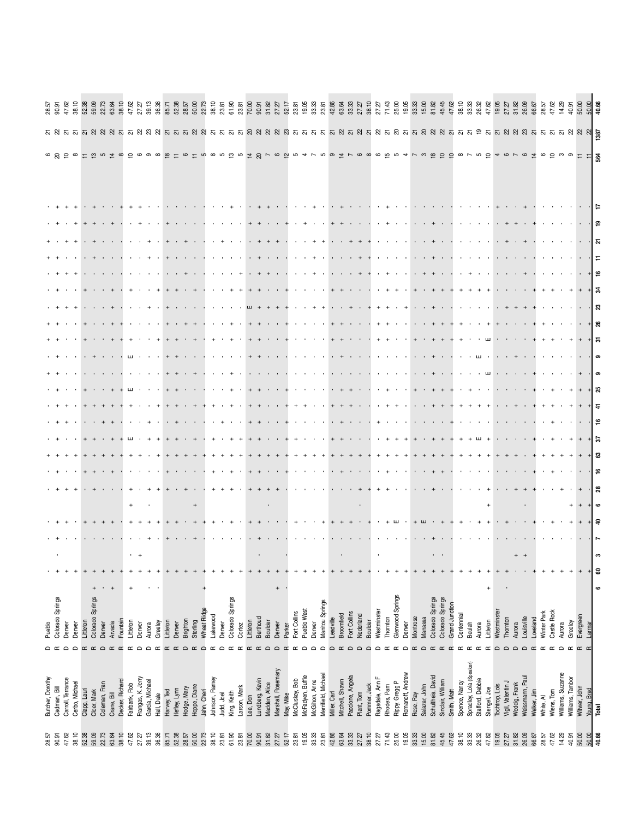| 28.57          | Butcher, Dorothy                 | Pueblo<br>≏                        |                 |   |  |   |  |   |    |            |    |  |   |     |   |   |   |                                                      |     |                                    |  |
|----------------|----------------------------------|------------------------------------|-----------------|---|--|---|--|---|----|------------|----|--|---|-----|---|---|---|------------------------------------------------------|-----|------------------------------------|--|
| 90.91          | Cadman, Bill                     | Colorado Springs                   |                 |   |  |   |  |   |    |            |    |  |   |     |   |   |   |                                                      |     |                                    |  |
| 47.62          | Carroll, Terrance                | Denver<br>≏                        |                 |   |  |   |  |   |    |            |    |  |   |     |   |   |   |                                                      |     |                                    |  |
| 38.10          | Cerbo, Michael                   | Denver<br>$\Omega$                 |                 |   |  |   |  |   |    |            |    |  |   |     |   |   |   |                                                      |     |                                    |  |
| 52.38          | Clapp, Lauri                     | Littleton<br>$\alpha$              |                 |   |  |   |  |   |    |            |    |  |   |     |   |   |   |                                                      |     |                                    |  |
| 59.09          | Cloer, Mark                      | Colorado Springs                   |                 |   |  |   |  |   |    |            |    |  |   |     |   |   |   |                                                      |     |                                    |  |
| 22.73          | Coleman, Fran                    | Denver<br>$\Omega$                 |                 |   |  |   |  |   |    |            |    |  |   |     |   |   |   |                                                      |     |                                    |  |
| 63.64          | Crane, Bill                      | Arvada<br>$\alpha$                 |                 |   |  |   |  |   |    |            |    |  |   |     |   |   |   |                                                      |     |                                    |  |
| 38.10          | Decker, Richard                  | Fountain<br>$\simeq$               |                 |   |  |   |  |   |    |            |    |  |   |     |   |   |   |                                                      |     |                                    |  |
| 47.62          | Fairbank, Rob                    | Littleton                          |                 |   |  |   |  |   |    |            |    |  |   |     |   |   |   |                                                      |     |                                    |  |
| 27.27          | Frangas, K. Jerry                | Denver<br>≏                        |                 |   |  |   |  |   |    |            |    |  |   |     |   |   |   |                                                      |     |                                    |  |
| 39.13          | Garcia, Michael                  | Aurora<br>≏                        |                 |   |  |   |  |   |    |            |    |  |   |     |   |   |   |                                                      |     |                                    |  |
| 36.36          | Hall, Dale                       | Greeley<br>$\sigma$                |                 |   |  |   |  |   |    |            |    |  |   |     |   |   |   |                                                      |     |                                    |  |
| 85.71          | Harvey, Ted                      | Littleton                          |                 |   |  |   |  |   |    |            |    |  |   |     |   |   |   |                                                      |     |                                    |  |
| 52.38          | Hefley, Lynn                     | Denver                             |                 |   |  |   |  |   |    |            |    |  |   |     |   |   |   |                                                      |     |                                    |  |
| 28.57          | Hodge, Mary                      | Brighton<br>$\bigcap$              |                 |   |  |   |  |   |    |            |    |  |   |     |   |   |   |                                                      |     |                                    |  |
| 50.00          | Hoppe, Diane                     | Sterling<br>$\alpha$               |                 |   |  |   |  |   |    |            |    |  |   |     |   |   |   |                                                      |     |                                    |  |
| 22.73          | Jahn, Cheri                      | Wheat Ridge<br>$\Omega$            |                 |   |  |   |  |   |    |            |    |  |   |     |   |   |   |                                                      |     |                                    |  |
| 38.10          | Johnson, Ramey                   | Lakewood<br>$\sigma$               |                 |   |  |   |  |   |    |            |    |  |   |     |   |   |   |                                                      |     |                                    |  |
| 23.81          | Judd, Joel                       | Denver<br>$\bigcap$                |                 |   |  |   |  |   |    |            |    |  |   |     |   |   |   |                                                      |     |                                    |  |
| 61.90          | King, Keith                      | Colorado Springs                   |                 |   |  |   |  |   |    |            |    |  |   |     |   |   |   |                                                      |     |                                    |  |
| 23.81          | Larson, Mark                     | Cortez<br>$\sigma$                 |                 |   |  |   |  |   |    |            |    |  |   |     |   |   |   |                                                      |     |                                    |  |
| 70.00          | Lee, Don                         | Littleton                          |                 |   |  |   |  |   |    |            |    |  |   |     |   |   |   |                                                      |     |                                    |  |
| 90.91          | Lundberg, Kevin                  | Berthoud                           |                 |   |  |   |  |   |    |            |    |  |   |     |   |   |   |                                                      |     |                                    |  |
| 31.82          | Madden, Alice                    | <b>Boulder</b><br>$\bigcap$        |                 |   |  |   |  |   |    |            |    |  |   |     |   |   |   |                                                      |     |                                    |  |
| 27.27          | Marshall, Rosemary               | Denver<br>$\cap$                   | $^{\mathrm{+}}$ |   |  |   |  |   |    |            |    |  |   |     |   |   |   |                                                      |     |                                    |  |
| 52.17          | May, Mike                        | Parker                             |                 |   |  |   |  |   |    |            |    |  |   |     |   |   |   |                                                      |     |                                    |  |
| 23.81          | McCluskey, Bob                   | Fort Collins                       |                 |   |  |   |  |   |    |            |    |  |   |     |   |   |   |                                                      |     |                                    |  |
| 19.05          | McFadyen, Buffie                 | Pueblo West                        |                 |   |  |   |  |   |    |            |    |  |   |     |   |   |   |                                                      |     |                                    |  |
| 33.33          | McGihon, Anne                    | Denver                             |                 |   |  |   |  |   |    |            |    |  |   |     |   |   |   |                                                      |     |                                    |  |
| 23.81          | Merrifield, Michael              | Manitou Springs<br>$\bigcap$       |                 |   |  |   |  |   |    |            |    |  |   |     |   |   |   |                                                      |     |                                    |  |
| 42.86          | Miller, Carl                     | Leadville<br>$\bigcap$             |                 |   |  |   |  |   |    |            |    |  |   |     |   |   |   |                                                      |     |                                    |  |
| 63.64          | Mitchell, Shawn                  | Broomfield                         |                 |   |  |   |  |   |    |            |    |  |   |     |   |   |   |                                                      |     |                                    |  |
| 33.33          | Paccione, Angela                 | Fort Collins<br>$\bigcap$          |                 |   |  |   |  |   |    |            |    |  |   |     |   |   |   |                                                      |     |                                    |  |
| 27.27          | Plant, Tom                       | Nederland<br>$\cap$                |                 |   |  |   |  |   |    |            |    |  |   |     |   |   |   |                                                      |     |                                    |  |
| 38.10          | Pommer, Jack                     | Boulder                            |                 |   |  |   |  |   |    |            |    |  |   |     |   |   |   |                                                      |     |                                    |  |
| 27.27          | Ragsdale, Ann F                  | Westminster                        |                 |   |  |   |  |   |    |            |    |  |   |     |   |   |   |                                                      |     |                                    |  |
| 71.43          | Rhodes, Pam                      | Thornton                           |                 |   |  |   |  |   |    |            |    |  |   |     |   |   |   |                                                      |     |                                    |  |
| 25.00          | Rippy, Gregg P                   | Glenwood Springs                   |                 |   |  |   |  |   |    |            |    |  |   |     |   |   |   | the special control of the control of the control of |     |                                    |  |
| 19.05          | Romanoff, Andrew                 | Denver                             |                 |   |  |   |  |   |    |            |    |  |   |     |   |   |   |                                                      |     |                                    |  |
| 33.33          | Rose, Ray                        | Montrose                           |                 |   |  |   |  |   |    |            |    |  |   |     |   |   |   |                                                      |     |                                    |  |
| 15.00          | Salazar, John                    | Manassa                            |                 |   |  |   |  |   |    |            |    |  |   |     |   |   |   |                                                      |     |                                    |  |
| 81.82          | Schultheis, David                | Colorado Springs                   |                 |   |  |   |  |   |    |            |    |  |   |     |   |   |   |                                                      |     |                                    |  |
| 45.45<br>47.62 | Sinclair, William<br>Smith, Matt | Colorado Springs<br>Grand Junction |                 |   |  |   |  |   |    |            |    |  |   |     |   |   |   |                                                      |     |                                    |  |
| 38.10          | Spence, Nancy                    | Centennial                         |                 |   |  |   |  |   |    |            |    |  |   |     |   |   |   |                                                      |     |                                    |  |
| 33.33          | Spradley, Lola (Speaker)         | Beulah                             |                 |   |  |   |  |   |    |            |    |  |   |     |   |   |   |                                                      |     |                                    |  |
| 26.32          | Stafford, Debbie                 | Aurora                             |                 |   |  |   |  |   |    |            |    |  |   |     |   |   |   |                                                      |     |                                    |  |
| 47.62          | Stengel, Joe                     | Littleton<br>$\alpha$              | $\ddot{}$       |   |  |   |  |   |    |            |    |  |   |     |   |   |   |                                                      |     |                                    |  |
| 19.05          | Tochtrop, Lois                   | Westminste<br>$\bigcap$            |                 |   |  |   |  |   |    |            |    |  |   |     |   |   |   |                                                      |     |                                    |  |
| 27.27          | Vigil, Valentin J                | Thornton<br>$\bigcap$              |                 |   |  |   |  |   |    |            |    |  |   |     |   |   |   |                                                      |     |                                    |  |
| 31.82          | Weddig, Frank                    | Aurora<br>$\Omega$                 |                 |   |  |   |  |   |    |            |    |  |   |     |   |   |   |                                                      |     |                                    |  |
| 26.09          | Weissmann, Paul                  | Louisville<br>$\Omega$             |                 |   |  |   |  |   |    |            |    |  |   |     |   |   |   |                                                      |     |                                    |  |
| 66.67          | Welker, Jim                      | Loveland                           |                 |   |  |   |  |   |    |            |    |  |   |     |   |   |   |                                                      |     |                                    |  |
| 28.57          | White, Al                        | Winter Park                        |                 |   |  |   |  |   |    |            |    |  |   |     |   |   |   |                                                      |     | 28.57<br>47.62<br>14.29            |  |
| 47.62          | Wiens, Tom                       | Castle Rock                        |                 |   |  |   |  |   |    |            |    |  |   |     |   |   |   |                                                      |     |                                    |  |
| 14.29          | Williams, Suzanne                | Aurora                             |                 |   |  |   |  |   |    |            |    |  |   |     |   |   |   |                                                      |     |                                    |  |
| 40.91          | Williams, Tambor                 | Greeley                            |                 |   |  |   |  |   |    |            |    |  |   |     |   |   |   |                                                      |     |                                    |  |
| 50.00<br>50.00 | Witwer, John                     | Evergreen<br>Larmar                |                 |   |  |   |  |   |    |            |    |  |   |     |   |   |   |                                                      |     | $40.00$<br>50.00<br>50.00<br>40.66 |  |
| 40.66          | <b>Young, Brad</b><br>Total      |                                    | $\bullet$       | ෂ |  | ဖ |  | ී | P. | $\ddot{4}$ | ಸಿ |  | ន | ్లే | Ξ | ন | ္ | d۵                                                   | 564 |                                    |  |
|                |                                  |                                    |                 |   |  |   |  |   |    |            |    |  |   |     |   |   |   |                                                      |     |                                    |  |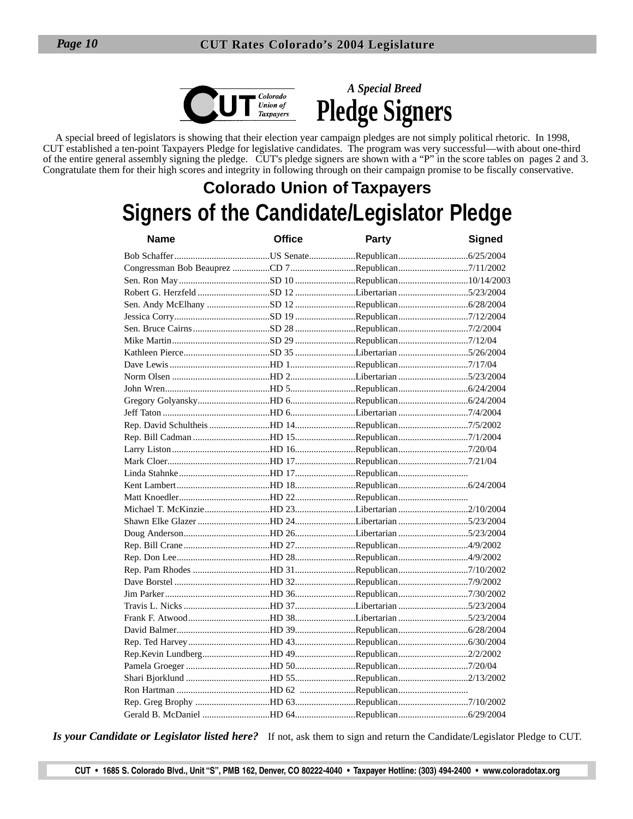

*A Special Breed* **Pledge Signers**

A special breed of legislators is showing that their election year campaign pledges are not simply political rhetoric. In 1998, CUT established a ten-point Taxpayers Pledge for legislative candidates. The program was very successful—with about one-third of the entire general assembly signing the pledge. CUT's pledge signers are shown with a "P" in the score tables on pages 2 and 3. Congratulate them for their high scores and integrity in following through on their campaign promise to be fiscally conservative.

## **Colorado Union of Taxpayers Signers of the Candidate/Legislator Pledge**

| <b>Name</b>                               | <b>Office</b> | Party | <b>Signed</b> |
|-------------------------------------------|---------------|-------|---------------|
|                                           |               |       |               |
|                                           |               |       |               |
|                                           |               |       |               |
|                                           |               |       |               |
|                                           |               |       |               |
|                                           |               |       |               |
|                                           |               |       |               |
|                                           |               |       |               |
|                                           |               |       |               |
|                                           |               |       |               |
|                                           |               |       |               |
|                                           |               |       |               |
|                                           |               |       |               |
|                                           |               |       |               |
|                                           |               |       |               |
|                                           |               |       |               |
|                                           |               |       |               |
|                                           |               |       |               |
|                                           |               |       |               |
|                                           |               |       |               |
|                                           |               |       |               |
|                                           |               |       |               |
|                                           |               |       |               |
|                                           |               |       |               |
|                                           |               |       |               |
|                                           |               |       |               |
| Rep. Pam Rhodes HD 31Republican7/10/2002  |               |       |               |
|                                           |               |       |               |
|                                           |               |       |               |
|                                           |               |       |               |
|                                           |               |       |               |
|                                           |               |       |               |
|                                           |               |       |               |
|                                           |               |       |               |
|                                           |               |       |               |
|                                           |               |       |               |
|                                           |               |       |               |
| Rep. Greg Brophy HD 63Republican7/10/2002 |               |       |               |
|                                           |               |       |               |

*Is your Candidate or Legislator listed here?* If not, ask them to sign and return the Candidate/Legislator Pledge to CUT.

**CUT • 1685 S. Colorado Blvd., Unit "S", PMB 162, Denver, CO 80222-4040 • Taxpayer Hotline: (303) 494-2400 • www.coloradotax.org**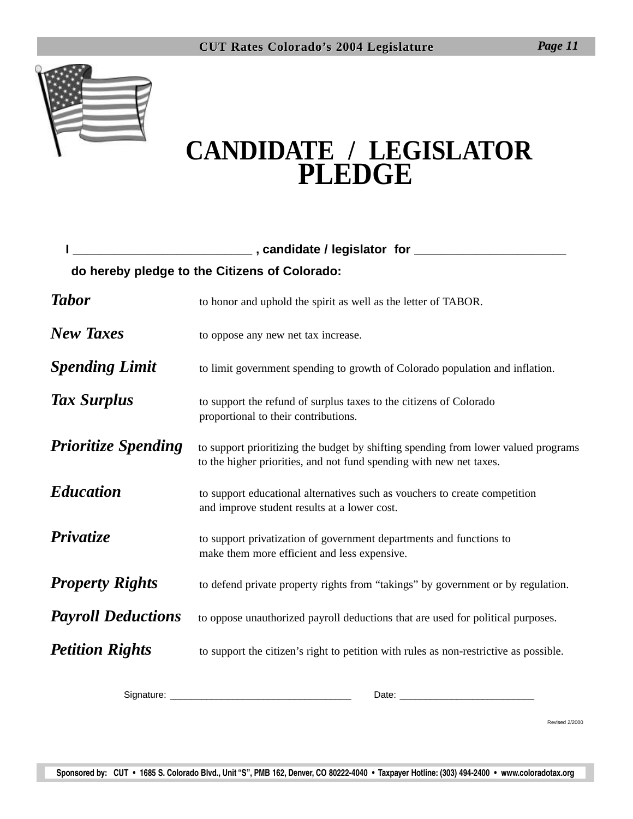

## **CANDIDATE / LEGISLATOR PLEDGE**

|                            | do hereby pledge to the Citizens of Colorado:                                                                                                             |
|----------------------------|-----------------------------------------------------------------------------------------------------------------------------------------------------------|
| <b>Tabor</b>               | to honor and uphold the spirit as well as the letter of TABOR.                                                                                            |
| <b>New Taxes</b>           | to oppose any new net tax increase.                                                                                                                       |
| <b>Spending Limit</b>      | to limit government spending to growth of Colorado population and inflation.                                                                              |
| Tax Surplus                | to support the refund of surplus taxes to the citizens of Colorado<br>proportional to their contributions.                                                |
| <b>Prioritize Spending</b> | to support prioritizing the budget by shifting spending from lower valued programs<br>to the higher priorities, and not fund spending with new net taxes. |
| <b>Education</b>           | to support educational alternatives such as vouchers to create competition<br>and improve student results at a lower cost.                                |
| <b>Privatize</b>           | to support privatization of government departments and functions to<br>make them more efficient and less expensive.                                       |
| <b>Property Rights</b>     | to defend private property rights from "takings" by government or by regulation.                                                                          |
| <b>Payroll Deductions</b>  | to oppose unauthorized payroll deductions that are used for political purposes.                                                                           |
| <b>Petition Rights</b>     | to support the citizen's right to petition with rules as non-restrictive as possible.                                                                     |
| Signature:                 | Date:                                                                                                                                                     |

Revised 2/2000

**Sponsored by: CUT • 1685 S. Colorado Blvd., Unit "S", PMB 162, Denver, CO 80222-4040 • Taxpayer Hotline: (303) 494-2400 • www.coloradotax.org**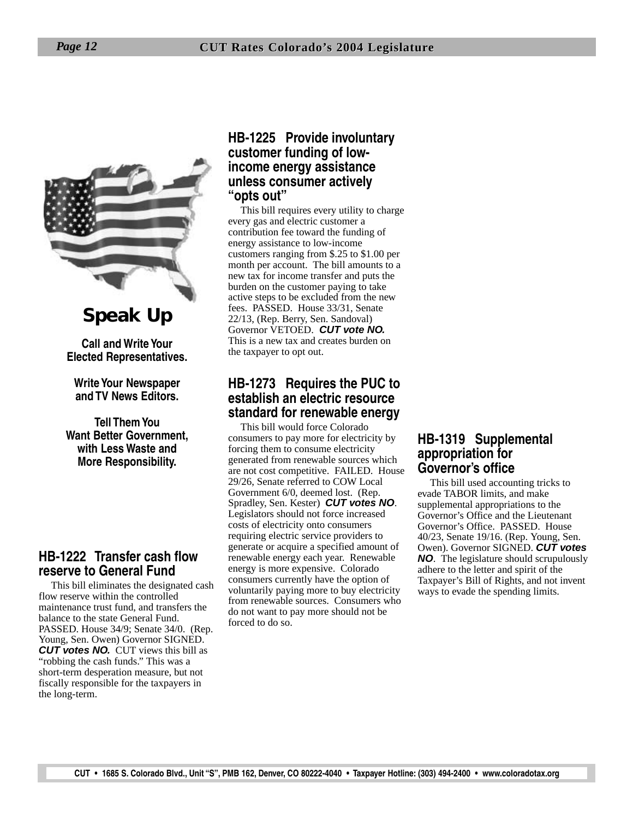

**Speak Up**

**Call and Write Your Elected Representatives.**

**Write Your Newspaper and TV News Editors.**

**Tell Them You Want Better Government, with Less Waste and More Responsibility.**

#### **HB-1222 Transfer cash flow reserve to General Fund**

This bill eliminates the designated cash flow reserve within the controlled maintenance trust fund, and transfers the balance to the state General Fund. PASSED. House 34/9; Senate 34/0. (Rep. Young, Sen. Owen) Governor SIGNED. **CUT votes NO.** CUT views this bill as "robbing the cash funds." This was a short-term desperation measure, but not fiscally responsible for the taxpayers in the long-term.

#### **HB-1225 Provide involuntary customer funding of lowincome energy assistance unless consumer actively "opts out"**

This bill requires every utility to charge every gas and electric customer a contribution fee toward the funding of energy assistance to low-income customers ranging from \$.25 to \$1.00 per month per account. The bill amounts to a new tax for income transfer and puts the burden on the customer paying to take active steps to be excluded from the new fees. PASSED. House 33/31, Senate 22/13, (Rep. Berry, Sen. Sandoval) Governor VETOED. **CUT vote NO.** This is a new tax and creates burden on the taxpayer to opt out.

#### **HB-1273 Requires the PUC to establish an electric resource standard for renewable energy**

This bill would force Colorado consumers to pay more for electricity by forcing them to consume electricity generated from renewable sources which are not cost competitive. FAILED. House 29/26, Senate referred to COW Local Government 6/0, deemed lost. (Rep. Spradley, Sen. Kester) **CUT votes NO**. Legislators should not force increased costs of electricity onto consumers requiring electric service providers to generate or acquire a specified amount of renewable energy each year. Renewable energy is more expensive. Colorado consumers currently have the option of voluntarily paying more to buy electricity from renewable sources. Consumers who do not want to pay more should not be forced to do so.

#### **HB-1319 Supplemental appropriation for Governor's office**

This bill used accounting tricks to evade TABOR limits, and make supplemental appropriations to the Governor's Office and the Lieutenant Governor's Office. PASSED. House 40/23, Senate 19/16. (Rep. Young, Sen. Owen). Governor SIGNED. **CUT votes NO**. The legislature should scrupulously adhere to the letter and spirit of the Taxpayer's Bill of Rights, and not invent ways to evade the spending limits.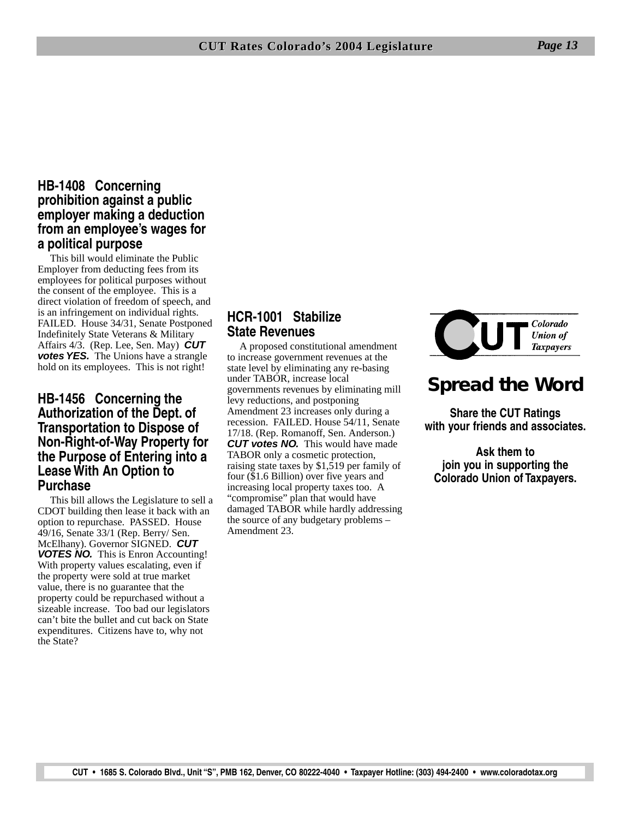#### **HB-1408 Concerning prohibition against a public employer making a deduction from an employee's wages for a political purpose**

This bill would eliminate the Public Employer from deducting fees from its employees for political purposes without the consent of the employee. This is a direct violation of freedom of speech, and is an infringement on individual rights. FAILED. House 34/31, Senate Postponed Indefinitely State Veterans & Military Affairs 4/3. (Rep. Lee, Sen. May) **CUT votes YES.** The Unions have a strangle hold on its employees. This is not right!

#### **HB-1456 Concerning the Authorization of the Dept. of Transportation to Dispose of Non-Right-of-Way Property for the Purpose of Entering into a Lease With An Option to Purchase**

This bill allows the Legislature to sell a CDOT building then lease it back with an option to repurchase. PASSED. House 49/16, Senate 33/1 (Rep. Berry/ Sen. McElhany). Governor SIGNED. **CUT VOTES NO.** This is Enron Accounting! With property values escalating, even if the property were sold at true market value, there is no guarantee that the property could be repurchased without a sizeable increase. Too bad our legislators can't bite the bullet and cut back on State expenditures. Citizens have to, why not the State?

#### **HCR-1001 Stabilize State Revenues**

A proposed constitutional amendment to increase government revenues at the state level by eliminating any re-basing under TABOR, increase local governments revenues by eliminating mill levy reductions, and postponing Amendment 23 increases only during a recession. FAILED. House 54/11, Senate 17/18. (Rep. Romanoff, Sen. Anderson.) **CUT votes NO.** This would have made TABOR only a cosmetic protection, raising state taxes by \$1,519 per family of four (\$1.6 Billion) over five years and increasing local property taxes too. A "compromise" plan that would have damaged TABOR while hardly addressing the source of any budgetary problems – Amendment 23.



## **Spread the Word**

**Share the CUT Ratings with your friends and associates.**

**Ask them to join you in supporting the Colorado Union of Taxpayers.**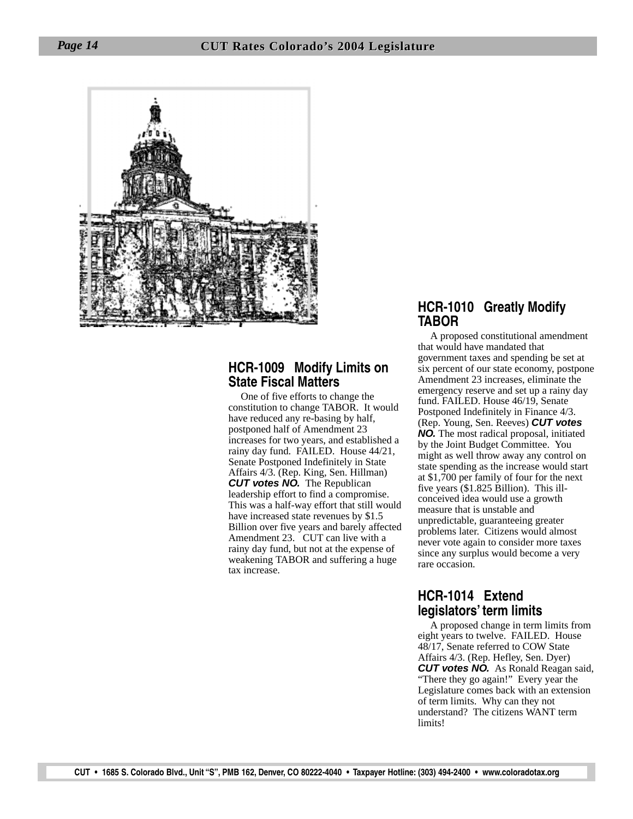

#### **HCR-1009 Modify Limits on State Fiscal Matters**

One of five efforts to change the constitution to change TABOR. It would have reduced any re-basing by half, postponed half of Amendment 23 increases for two years, and established a rainy day fund. FAILED. House 44/21, Senate Postponed Indefinitely in State Affairs 4/3. (Rep. King, Sen. Hillman) **CUT votes NO.** The Republican leadership effort to find a compromise. This was a half-way effort that still would have increased state revenues by \$1.5 Billion over five years and barely affected Amendment 23. CUT can live with a rainy day fund, but not at the expense of weakening TABOR and suffering a huge tax increase.

#### **HCR-1010 Greatly Modify TABOR**

A proposed constitutional amendment that would have mandated that government taxes and spending be set at six percent of our state economy, postpone Amendment 23 increases, eliminate the emergency reserve and set up a rainy day fund. FAILED. House 46/19, Senate Postponed Indefinitely in Finance 4/3. (Rep. Young, Sen. Reeves) **CUT votes NO.** The most radical proposal, initiated by the Joint Budget Committee. You might as well throw away any control on state spending as the increase would start at \$1,700 per family of four for the next five years (\$1.825 Billion). This illconceived idea would use a growth measure that is unstable and unpredictable, guaranteeing greater problems later. Citizens would almost never vote again to consider more taxes since any surplus would become a very rare occasion.

#### **HCR-1014 Extend legislators' term limits**

A proposed change in term limits from eight years to twelve. FAILED. House 48/17, Senate referred to COW State Affairs 4/3. (Rep. Hefley, Sen. Dyer) **CUT votes NO.** As Ronald Reagan said, "There they go again!" Every year the Legislature comes back with an extension of term limits. Why can they not understand? The citizens WANT term limits!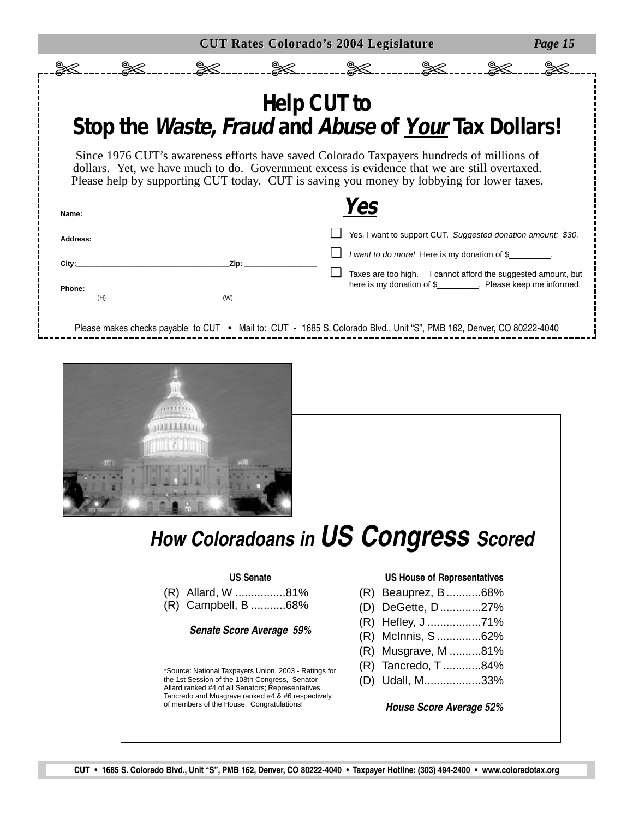|                         |                                                                                                     | <b>Help CUT to</b>              |                                              |                                                                                                                                                                                          |  |  |
|-------------------------|-----------------------------------------------------------------------------------------------------|---------------------------------|----------------------------------------------|------------------------------------------------------------------------------------------------------------------------------------------------------------------------------------------|--|--|
|                         |                                                                                                     |                                 |                                              | Stop the Waste, Fraud and Abuse of Your Tax Dollars!                                                                                                                                     |  |  |
|                         |                                                                                                     |                                 |                                              |                                                                                                                                                                                          |  |  |
|                         |                                                                                                     |                                 |                                              | Since 1976 CUT's awareness efforts have saved Colorado Taxpayers hundreds of millions of<br>dollars. Yet, we have much to do. Government excess is evidence that we are still overtaxed. |  |  |
|                         |                                                                                                     |                                 |                                              | Please help by supporting CUT today. CUT is saving you money by lobbying for lower taxes.                                                                                                |  |  |
|                         |                                                                                                     |                                 | Yes                                          |                                                                                                                                                                                          |  |  |
| Name:                   |                                                                                                     |                                 |                                              |                                                                                                                                                                                          |  |  |
| Address: <b>Address</b> |                                                                                                     |                                 |                                              | Yes, I want to support CUT. Suggested donation amount: \$30.                                                                                                                             |  |  |
| City:                   | Zip:                                                                                                |                                 | I want to do more! Here is my donation of \$ |                                                                                                                                                                                          |  |  |
| Phone:                  |                                                                                                     |                                 |                                              | Taxes are too high. I cannot afford the suggested amount, but<br>here is my donation of \$__________. Please keep me informed.                                                           |  |  |
| (H)                     | (W)                                                                                                 |                                 |                                              |                                                                                                                                                                                          |  |  |
|                         |                                                                                                     |                                 |                                              | Please makes checks payable to CUT • Mail to: CUT - 1685 S. Colorado Blvd., Unit "S", PMB 162, Denver, CO 80222-4040                                                                     |  |  |
|                         |                                                                                                     |                                 |                                              | How Coloradoans in US Congress Scored                                                                                                                                                    |  |  |
|                         |                                                                                                     |                                 |                                              |                                                                                                                                                                                          |  |  |
|                         | (R) Allard, W 81%                                                                                   | <b>US Senate</b>                |                                              | <b>US House of Representatives</b><br>(R) Beauprez, B68%                                                                                                                                 |  |  |
|                         | (R) Campbell, B 68%                                                                                 |                                 |                                              | (D) DeGette, D27%                                                                                                                                                                        |  |  |
|                         |                                                                                                     | <b>Senate Score Average 59%</b> |                                              | (R) Hefley, J 71%                                                                                                                                                                        |  |  |
|                         |                                                                                                     |                                 |                                              | (R) McInnis, S62%<br>(R) Musgrave, M 81%                                                                                                                                                 |  |  |
|                         | *Source: National Taxpayers Union, 2003 - Ratings for                                               |                                 |                                              | (R) Tancredo, T 84%                                                                                                                                                                      |  |  |
|                         | the 1st Session of the 108th Congress, Senator<br>Allard ranked #4 of all Senators; Representatives |                                 |                                              | (D) Udall, M33%                                                                                                                                                                          |  |  |
|                         | Tancredo and Musgrave ranked #4 & #6 respectively                                                   |                                 |                                              | <b>House Score Average 52%</b>                                                                                                                                                           |  |  |
|                         | of members of the House. Congratulations!                                                           |                                 |                                              |                                                                                                                                                                                          |  |  |